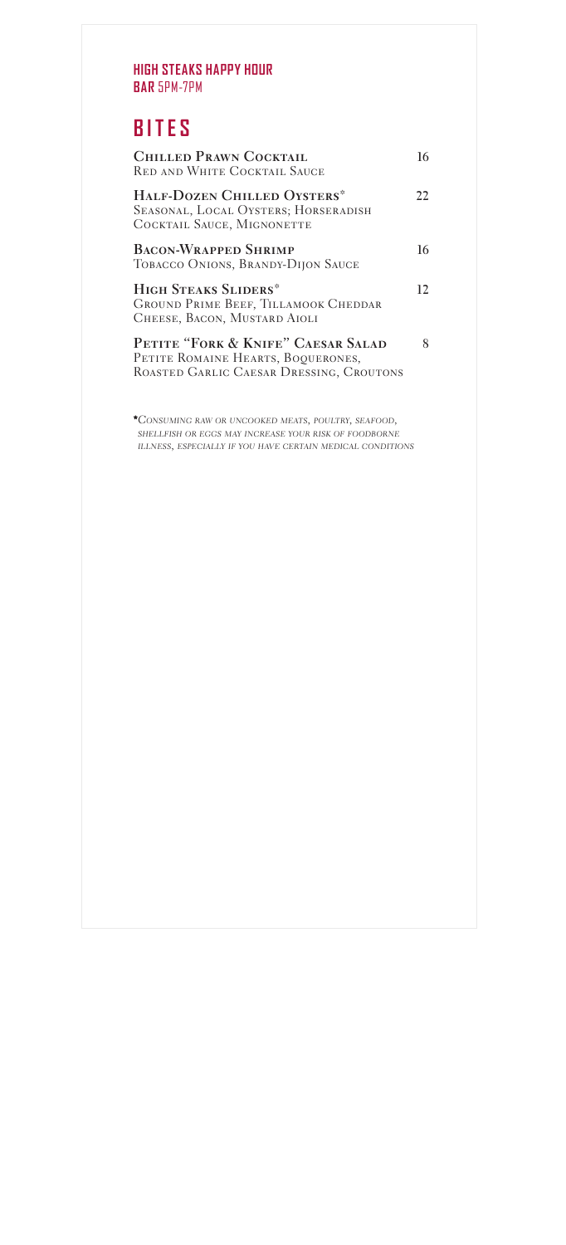#### **HIGH STEAKS HAPPY HOUR BAR** 5PM-7PM

#### **BITES**

| <b>CHILLED PRAWN COCKTAIL</b><br><b>RED AND WHITE COCKTAIL SAUCE</b>                                                 |     |
|----------------------------------------------------------------------------------------------------------------------|-----|
| HALF-DOZEN CHILLED OYSTERS*<br>SEASONAL, LOCAL OYSTERS; HORSERADISH<br>COCKTAIL SAUCE, MIGNONETTE                    | 22. |
| <b>BACON-WRAPPED SHRIMP</b><br>TOBACCO ONIONS, BRANDY-DIJON SAUCE                                                    | 16  |
| <b>HIGH STEAKS SLIDERS*</b><br><b>GROUND PRIME BEEF, TILLAMOOK CHEDDAR</b><br>CHEESE, BACON, MUSTARD AIOLI           | 12  |
| PETITE "FORK & KNIFE" CAESAR SALAD<br>PETITE ROMAINE HEARTS, BOQUERONES,<br>ROASTED GARLIC CAESAR DRESSING, CROUTONS | 8   |

CONSUMING RAW OR UNCOOKED MEATS, POULTRY, SEAFOOD,<br>SHELLFISH OR EGGS MAY INCREASE YOUR RISK OF FOODBORNE<br>ILLNESS, ESPECIALLY IF YOU HAVE CERTAIN MEDICAL CONDITIONS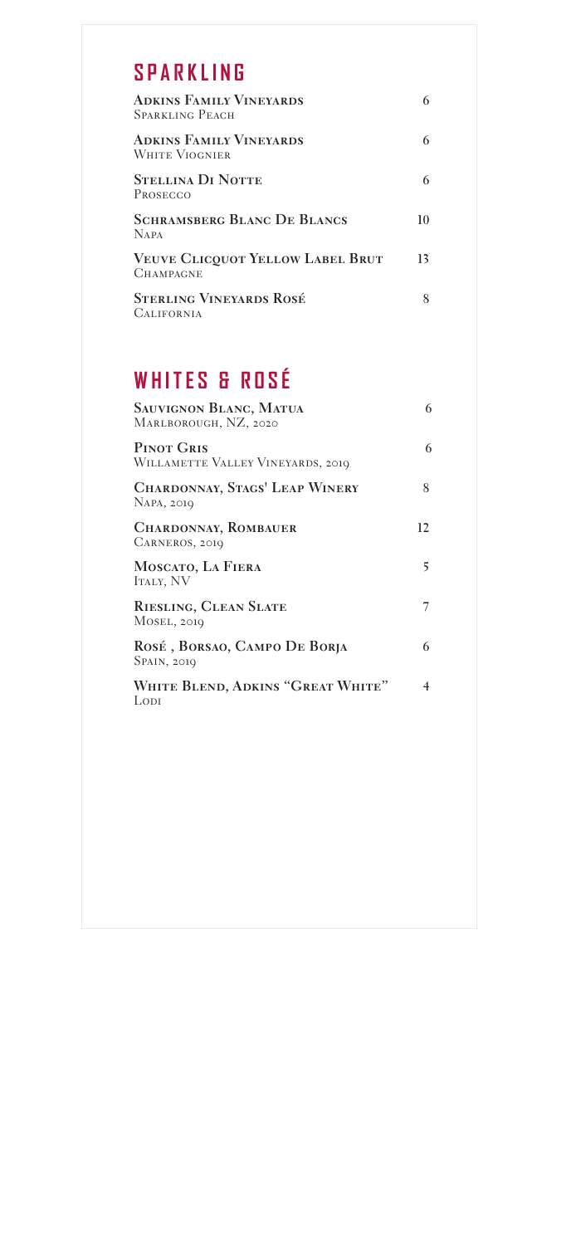## **S P A R K L I N G**

| <b>ADKINS FAMILY VINEYARDS</b><br><b>SPARKLING PEACH</b>    |    |
|-------------------------------------------------------------|----|
| <b>ADKINS FAMILY VINEYARDS</b><br>WHITE VIOGNIER            |    |
| <b>STELLINA DI NOTTE</b><br>PROSECCO                        |    |
| <b>SCHRAMSBERG BLANC DE BLANCS</b><br><b>NAPA</b>           | 10 |
| <b>VEUVE CLICOUOT YELLOW LABEL BRUT</b><br><b>CHAMPAGNE</b> | 13 |
| <b>STERLING VINEYARDS ROSÉ</b><br><b>CALIFORNIA</b>         |    |

# **WHITES & ROSÉ**

| <b>SAUVIGNON BLANC, MATUA</b><br>MARLBOROUGH, NZ, 2020 | 6  |
|--------------------------------------------------------|----|
| <b>PINOT GRIS</b><br>WILLAMETTE VALLEY VINEYARDS, 2019 | 6  |
| <b>CHARDONNAY, STAGS' LEAP WINERY</b><br>NAPA, 2019    | 8  |
| <b>CHARDONNAY, ROMBAUER</b><br>CARNEROS, 2019          | 12 |
| MOSCATO, LA FIERA<br><b>ITALY, NV</b>                  | 5  |
| RIESLING, CLEAN SLATE<br>MOSEL, 2019                   | 7  |
| ROSÉ, BORSAO, CAMPO DE BORJA<br>SPAIN, 2019            | 6  |
| WHITE BLEND, ADKINS "GREAT WHITE"<br>Lodi              | 4  |
|                                                        |    |